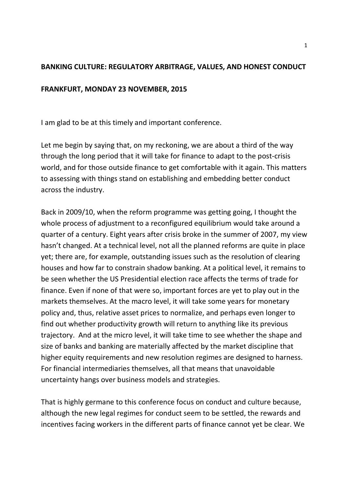### **BANKING CULTURE: REGULATORY ARBITRAGE, VALUES, AND HONEST CONDUCT**

### **FRANKFURT, MONDAY 23 NOVEMBER, 2015**

I am glad to be at this timely and important conference.

Let me begin by saying that, on my reckoning, we are about a third of the way through the long period that it will take for finance to adapt to the post-crisis world, and for those outside finance to get comfortable with it again. This matters to assessing with things stand on establishing and embedding better conduct across the industry.

Back in 2009/10, when the reform programme was getting going, I thought the whole process of adjustment to a reconfigured equilibrium would take around a quarter of a century. Eight years after crisis broke in the summer of 2007, my view hasn't changed. At a technical level, not all the planned reforms are quite in place yet; there are, for example, outstanding issues such as the resolution of clearing houses and how far to constrain shadow banking. At a political level, it remains to be seen whether the US Presidential election race affects the terms of trade for finance. Even if none of that were so, important forces are yet to play out in the markets themselves. At the macro level, it will take some years for monetary policy and, thus, relative asset prices to normalize, and perhaps even longer to find out whether productivity growth will return to anything like its previous trajectory. And at the micro level, it will take time to see whether the shape and size of banks and banking are materially affected by the market discipline that higher equity requirements and new resolution regimes are designed to harness. For financial intermediaries themselves, all that means that unavoidable uncertainty hangs over business models and strategies.

That is highly germane to this conference focus on conduct and culture because, although the new legal regimes for conduct seem to be settled, the rewards and incentives facing workers in the different parts of finance cannot yet be clear. We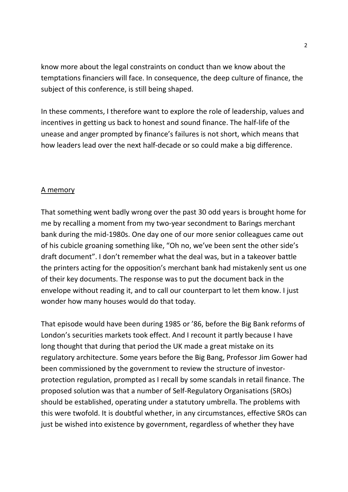know more about the legal constraints on conduct than we know about the temptations financiers will face. In consequence, the deep culture of finance, the subject of this conference, is still being shaped.

In these comments, I therefore want to explore the role of leadership, values and incentives in getting us back to honest and sound finance. The half-life of the unease and anger prompted by finance's failures is not short, which means that how leaders lead over the next half-decade or so could make a big difference.

#### A memory

That something went badly wrong over the past 30 odd years is brought home for me by recalling a moment from my two-year secondment to Barings merchant bank during the mid-1980s. One day one of our more senior colleagues came out of his cubicle groaning something like, "Oh no, we've been sent the other side's draft document". I don't remember what the deal was, but in a takeover battle the printers acting for the opposition's merchant bank had mistakenly sent us one of their key documents. The response was to put the document back in the envelope without reading it, and to call our counterpart to let them know. I just wonder how many houses would do that today.

That episode would have been during 1985 or '86, before the Big Bank reforms of London's securities markets took effect. And I recount it partly because I have long thought that during that period the UK made a great mistake on its regulatory architecture. Some years before the Big Bang, Professor Jim Gower had been commissioned by the government to review the structure of investorprotection regulation, prompted as I recall by some scandals in retail finance. The proposed solution was that a number of Self-Regulatory Organisations (SROs) should be established, operating under a statutory umbrella. The problems with this were twofold. It is doubtful whether, in any circumstances, effective SROs can just be wished into existence by government, regardless of whether they have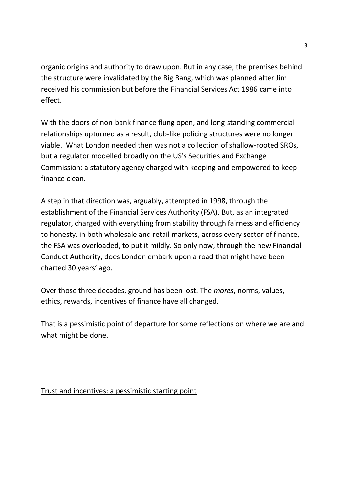organic origins and authority to draw upon. But in any case, the premises behind the structure were invalidated by the Big Bang, which was planned after Jim received his commission but before the Financial Services Act 1986 came into effect.

With the doors of non-bank finance flung open, and long-standing commercial relationships upturned as a result, club-like policing structures were no longer viable. What London needed then was not a collection of shallow-rooted SROs, but a regulator modelled broadly on the US's Securities and Exchange Commission: a statutory agency charged with keeping and empowered to keep finance clean.

A step in that direction was, arguably, attempted in 1998, through the establishment of the Financial Services Authority (FSA). But, as an integrated regulator, charged with everything from stability through fairness and efficiency to honesty, in both wholesale and retail markets, across every sector of finance, the FSA was overloaded, to put it mildly. So only now, through the new Financial Conduct Authority, does London embark upon a road that might have been charted 30 years' ago.

Over those three decades, ground has been lost. The *mores*, norms, values, ethics, rewards, incentives of finance have all changed.

That is a pessimistic point of departure for some reflections on where we are and what might be done.

### Trust and incentives: a pessimistic starting point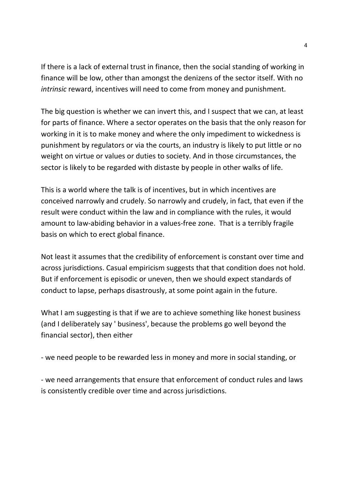If there is a lack of external trust in finance, then the social standing of working in finance will be low, other than amongst the denizens of the sector itself. With no *intrinsic* reward, incentives will need to come from money and punishment.

The big question is whether we can invert this, and I suspect that we can, at least for parts of finance. Where a sector operates on the basis that the only reason for working in it is to make money and where the only impediment to wickedness is punishment by regulators or via the courts, an industry is likely to put little or no weight on virtue or values or duties to society. And in those circumstances, the sector is likely to be regarded with distaste by people in other walks of life.

This is a world where the talk is of incentives, but in which incentives are conceived narrowly and crudely. So narrowly and crudely, in fact, that even if the result were conduct within the law and in compliance with the rules, it would amount to law-abiding behavior in a values-free zone. That is a terribly fragile basis on which to erect global finance.

Not least it assumes that the credibility of enforcement is constant over time and across jurisdictions. Casual empiricism suggests that that condition does not hold. But if enforcement is episodic or uneven, then we should expect standards of conduct to lapse, perhaps disastrously, at some point again in the future.

What I am suggesting is that if we are to achieve something like honest business (and I deliberately say ' business', because the problems go well beyond the financial sector), then either

- we need people to be rewarded less in money and more in social standing, or

- we need arrangements that ensure that enforcement of conduct rules and laws is consistently credible over time and across jurisdictions.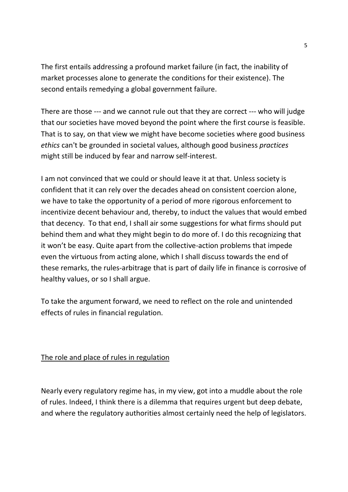The first entails addressing a profound market failure (in fact, the inability of market processes alone to generate the conditions for their existence). The second entails remedying a global government failure.

There are those --- and we cannot rule out that they are correct --- who will judge that our societies have moved beyond the point where the first course is feasible. That is to say, on that view we might have become societies where good business *ethics* can't be grounded in societal values, although good business *practices*  might still be induced by fear and narrow self-interest.

I am not convinced that we could or should leave it at that. Unless society is confident that it can rely over the decades ahead on consistent coercion alone, we have to take the opportunity of a period of more rigorous enforcement to incentivize decent behaviour and, thereby, to induct the values that would embed that decency. To that end, I shall air some suggestions for what firms should put behind them and what they might begin to do more of. I do this recognizing that it won't be easy. Quite apart from the collective-action problems that impede even the virtuous from acting alone, which I shall discuss towards the end of these remarks, the rules-arbitrage that is part of daily life in finance is corrosive of healthy values, or so I shall argue.

To take the argument forward, we need to reflect on the role and unintended effects of rules in financial regulation.

The role and place of rules in regulation

Nearly every regulatory regime has, in my view, got into a muddle about the role of rules. Indeed, I think there is a dilemma that requires urgent but deep debate, and where the regulatory authorities almost certainly need the help of legislators.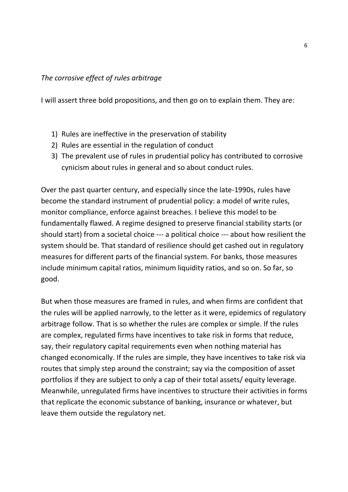## *The corrosive effect of rules arbitrage*

I will assert three bold propositions, and then go on to explain them. They are:

- 1) Rules are ineffective in the preservation of stability
- 2) Rules are essential in the regulation of conduct
- 3) The prevalent use of rules in prudential policy has contributed to corrosive cynicism about rules in general and so about conduct rules.

Over the past quarter century, and especially since the late-1990s, rules have become the standard instrument of prudential policy: a model of write rules, monitor compliance, enforce against breaches. I believe this model to be fundamentally flawed. A regime designed to preserve financial stability starts (or should start) from a societal choice --- a political choice --- about how resilient the system should be. That standard of resilience should get cashed out in regulatory measures for different parts of the financial system. For banks, those measures include minimum capital ratios, minimum liquidity ratios, and so on. So far, so good.

But when those measures are framed in rules, and when firms are confident that the rules will be applied narrowly, to the letter as it were, epidemics of regulatory arbitrage follow. That is so whether the rules are complex or simple. If the rules are complex, regulated firms have incentives to take risk in forms that reduce, say, their regulatory capital requirements even when nothing material has changed economically. If the rules are simple, they have incentives to take risk via routes that simply step around the constraint; say via the composition of asset portfolios if they are subject to only a cap of their total assets/ equity leverage. Meanwhile, unregulated firms have incentives to structure their activities in forms that replicate the economic substance of banking, insurance or whatever, but leave them outside the regulatory net.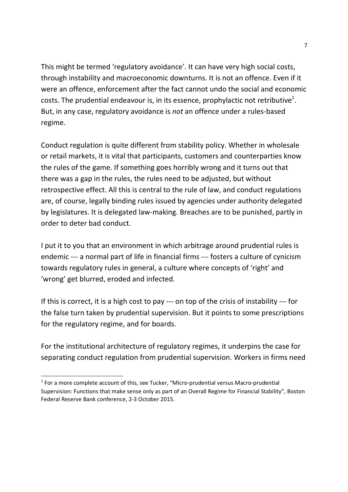This might be termed 'regulatory avoidance'. It can have very high social costs, through instability and macroeconomic downturns. It is not an offence. Even if it were an offence, enforcement after the fact cannot undo the social and economic costs. The prudential endeavour is, in its essence, prophylactic not retributive<sup>1</sup>. But, in any case, regulatory avoidance is *not* an offence under a rules-based regime.

Conduct regulation is quite different from stability policy. Whether in wholesale or retail markets, it is vital that participants, customers and counterparties know the rules of the game. If something goes horribly wrong and it turns out that there was a gap in the rules, the rules need to be adjusted, but without retrospective effect. All this is central to the rule of law, and conduct regulations are, of course, legally binding rules issued by agencies under authority delegated by legislatures. It is delegated law-making. Breaches are to be punished, partly in order to deter bad conduct.

I put it to you that an environment in which arbitrage around prudential rules is endemic --- a normal part of life in financial firms --- fosters a culture of cynicism towards regulatory rules in general, a culture where concepts of 'right' and 'wrong' get blurred, eroded and infected.

If this is correct, it is a high cost to pay --- on top of the crisis of instability --- for the false turn taken by prudential supervision. But it points to some prescriptions for the regulatory regime, and for boards.

For the institutional architecture of regulatory regimes, it underpins the case for separating conduct regulation from prudential supervision. Workers in firms need

<u>.</u>

 $1$  For a more complete account of this, see Tucker, "Micro-prudential versus Macro-prudential Supervision: Functions that make sense only as part of an Overall Regime for Financial Stability", Boston Federal Reserve Bank conference, 2-3 October 2015.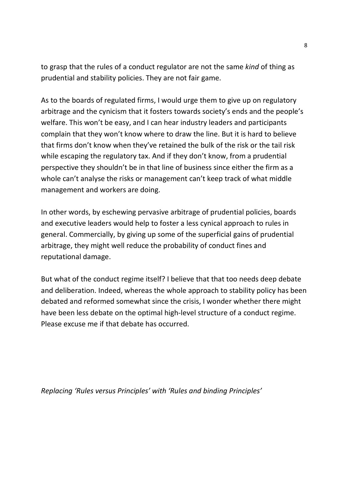to grasp that the rules of a conduct regulator are not the same *kind* of thing as prudential and stability policies. They are not fair game.

As to the boards of regulated firms, I would urge them to give up on regulatory arbitrage and the cynicism that it fosters towards society's ends and the people's welfare. This won't be easy, and I can hear industry leaders and participants complain that they won't know where to draw the line. But it is hard to believe that firms don't know when they've retained the bulk of the risk or the tail risk while escaping the regulatory tax. And if they don't know, from a prudential perspective they shouldn't be in that line of business since either the firm as a whole can't analyse the risks or management can't keep track of what middle management and workers are doing.

In other words, by eschewing pervasive arbitrage of prudential policies, boards and executive leaders would help to foster a less cynical approach to rules in general. Commercially, by giving up some of the superficial gains of prudential arbitrage, they might well reduce the probability of conduct fines and reputational damage.

But what of the conduct regime itself? I believe that that too needs deep debate and deliberation. Indeed, whereas the whole approach to stability policy has been debated and reformed somewhat since the crisis, I wonder whether there might have been less debate on the optimal high-level structure of a conduct regime. Please excuse me if that debate has occurred.

*Replacing 'Rules versus Principles' with 'Rules and binding Principles'*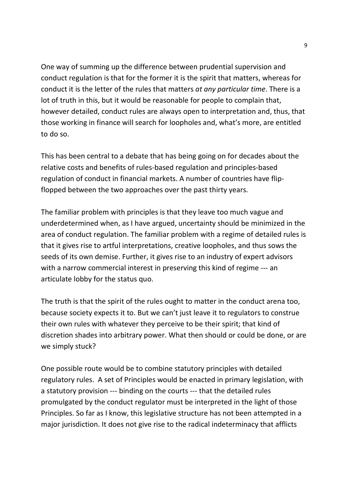One way of summing up the difference between prudential supervision and conduct regulation is that for the former it is the spirit that matters, whereas for conduct it is the letter of the rules that matters *at any particular time*. There is a lot of truth in this, but it would be reasonable for people to complain that, however detailed, conduct rules are always open to interpretation and, thus, that those working in finance will search for loopholes and, what's more, are entitled to do so.

This has been central to a debate that has being going on for decades about the relative costs and benefits of rules-based regulation and principles-based regulation of conduct in financial markets. A number of countries have flipflopped between the two approaches over the past thirty years.

The familiar problem with principles is that they leave too much vague and underdetermined when, as I have argued, uncertainty should be minimized in the area of conduct regulation. The familiar problem with a regime of detailed rules is that it gives rise to artful interpretations, creative loopholes, and thus sows the seeds of its own demise. Further, it gives rise to an industry of expert advisors with a narrow commercial interest in preserving this kind of regime --- an articulate lobby for the status quo.

The truth is that the spirit of the rules ought to matter in the conduct arena too, because society expects it to. But we can't just leave it to regulators to construe their own rules with whatever they perceive to be their spirit; that kind of discretion shades into arbitrary power. What then should or could be done, or are we simply stuck?

One possible route would be to combine statutory principles with detailed regulatory rules. A set of Principles would be enacted in primary legislation, with a statutory provision --- binding on the courts --- that the detailed rules promulgated by the conduct regulator must be interpreted in the light of those Principles. So far as I know, this legislative structure has not been attempted in a major jurisdiction. It does not give rise to the radical indeterminacy that afflicts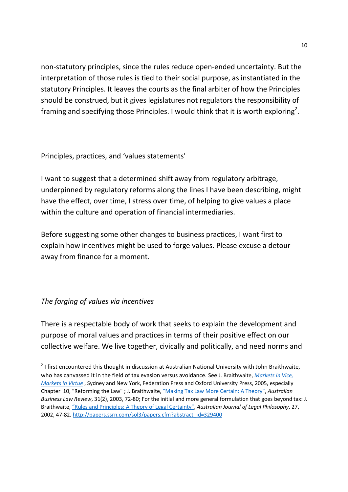non-statutory principles, since the rules reduce open-ended uncertainty. But the interpretation of those rules is tied to their social purpose, as instantiated in the statutory Principles. It leaves the courts as the final arbiter of how the Principles should be construed, but it gives legislatures not regulators the responsibility of framing and specifying those Principles. I would think that it is worth exploring<sup>2</sup>.

## Principles, practices, and 'values statements'

I want to suggest that a determined shift away from regulatory arbitrage, underpinned by regulatory reforms along the lines I have been describing, might have the effect, over time, I stress over time, of helping to give values a place within the culture and operation of financial intermediaries.

Before suggesting some other changes to business practices, I want first to explain how incentives might be used to forge values. Please excuse a detour away from finance for a moment.

# *The forging of values via incentives*

<u>.</u>

There is a respectable body of work that seeks to explain the development and purpose of moral values and practices in terms of their positive effect on our collective welfare. We live together, civically and politically, and need norms and

 $2$  I first encountered this thought in discussion at Australian National University with John Braithwaite, who has canvassed it in the field of tax evasion versus avoidance. See J. Braithwaite, *Markets in Vice, Markets in Virtue* , Sydney and New York, Federation Press and Oxford University Press, 2005, especially Chapter 10, "Reforming the Law" ; J. Braithwaite, "Making Tax Law More Certain: A Theory", *Australian Business Law Review*, 31(2), 2003, 72-80; For the initial and more general formulation that goes beyond tax: J. Braithwaite, "Rules and Principles: A Theory of Legal Certainty", *Australian Journal of Legal Philosophy*, 27, 2002, 47-82. http://papers.ssrn.com/sol3/papers.cfm?abstract\_id=329400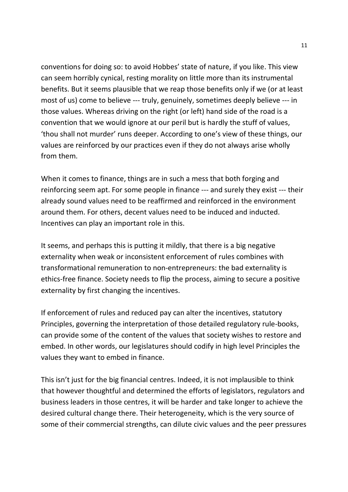conventions for doing so: to avoid Hobbes' state of nature, if you like. This view can seem horribly cynical, resting morality on little more than its instrumental benefits. But it seems plausible that we reap those benefits only if we (or at least most of us) come to believe --- truly, genuinely, sometimes deeply believe --- in those values. Whereas driving on the right (or left) hand side of the road is a convention that we would ignore at our peril but is hardly the stuff of values, 'thou shall not murder' runs deeper. According to one's view of these things, our values are reinforced by our practices even if they do not always arise wholly from them.

When it comes to finance, things are in such a mess that both forging and reinforcing seem apt. For some people in finance --- and surely they exist --- their already sound values need to be reaffirmed and reinforced in the environment around them. For others, decent values need to be induced and inducted. Incentives can play an important role in this.

It seems, and perhaps this is putting it mildly, that there is a big negative externality when weak or inconsistent enforcement of rules combines with transformational remuneration to non-entrepreneurs: the bad externality is ethics-free finance. Society needs to flip the process, aiming to secure a positive externality by first changing the incentives.

If enforcement of rules and reduced pay can alter the incentives, statutory Principles, governing the interpretation of those detailed regulatory rule-books, can provide some of the content of the values that society wishes to restore and embed. In other words, our legislatures should codify in high level Principles the values they want to embed in finance.

This isn't just for the big financial centres. Indeed, it is not implausible to think that however thoughtful and determined the efforts of legislators, regulators and business leaders in those centres, it will be harder and take longer to achieve the desired cultural change there. Their heterogeneity, which is the very source of some of their commercial strengths, can dilute civic values and the peer pressures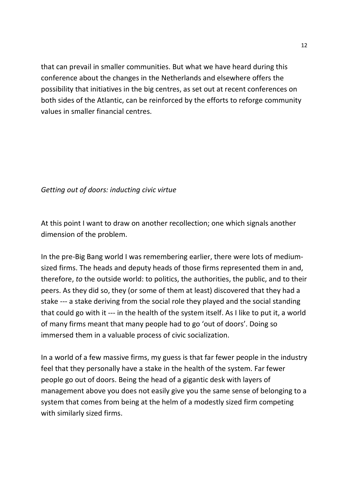that can prevail in smaller communities. But what we have heard during this conference about the changes in the Netherlands and elsewhere offers the possibility that initiatives in the big centres, as set out at recent conferences on both sides of the Atlantic, can be reinforced by the efforts to reforge community values in smaller financial centres.

### *Getting out of doors: inducting civic virtue*

At this point I want to draw on another recollection; one which signals another dimension of the problem.

In the pre-Big Bang world I was remembering earlier, there were lots of mediumsized firms. The heads and deputy heads of those firms represented them in and, therefore, *to* the outside world: to politics, the authorities, the public, and to their peers. As they did so, they (or some of them at least) discovered that they had a stake --- a stake deriving from the social role they played and the social standing that could go with it --- in the health of the system itself. As I like to put it, a world of many firms meant that many people had to go 'out of doors'. Doing so immersed them in a valuable process of civic socialization.

In a world of a few massive firms, my guess is that far fewer people in the industry feel that they personally have a stake in the health of the system. Far fewer people go out of doors. Being the head of a gigantic desk with layers of management above you does not easily give you the same sense of belonging to a system that comes from being at the helm of a modestly sized firm competing with similarly sized firms.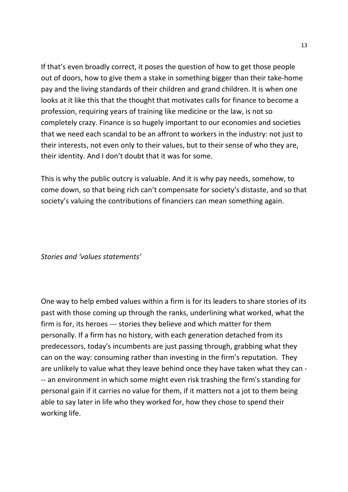If that's even broadly correct, it poses the question of how to get those people out of doors, how to give them a stake in something bigger than their take-home pay and the living standards of their children and grand children. It is when one looks at it like this that the thought that motivates calls for finance to become a profession, requiring years of training like medicine or the law, is not so completely crazy. Finance is so hugely important to our economies and societies that we need each scandal to be an affront to workers in the industry: not just to their interests, not even only to their values, but to their sense of who they are, their identity. And I don't doubt that it was for some.

This is why the public outcry is valuable. And it is why pay needs, somehow, to come down, so that being rich can't compensate for society's distaste, and so that society's valuing the contributions of financiers can mean something again.

*Stories and 'values statements'* 

One way to help embed values within a firm is for its leaders to share stories of its past with those coming up through the ranks, underlining what worked, what the firm is for, its heroes --- stories they believe and which matter for them personally. If a firm has no history, with each generation detached from its predecessors, today's incumbents are just passing through, grabbing what they can on the way: consuming rather than investing in the firm's reputation. They are unlikely to value what they leave behind once they have taken what they can - -- an environment in which some might even risk trashing the firm's standing for personal gain if it carries no value for them, if it matters not a jot to them being able to say later in life who they worked for, how they chose to spend their working life.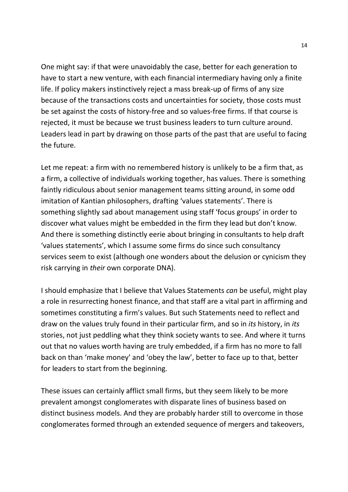One might say: if that were unavoidably the case, better for each generation to have to start a new venture, with each financial intermediary having only a finite life. If policy makers instinctively reject a mass break-up of firms of any size because of the transactions costs and uncertainties for society, those costs must be set against the costs of history-free and so values-free firms. If that course is rejected, it must be because we trust business leaders to turn culture around. Leaders lead in part by drawing on those parts of the past that are useful to facing the future.

Let me repeat: a firm with no remembered history is unlikely to be a firm that, as a firm, a collective of individuals working together, has values. There is something faintly ridiculous about senior management teams sitting around, in some odd imitation of Kantian philosophers, drafting 'values statements'. There is something slightly sad about management using staff 'focus groups' in order to discover what values might be embedded in the firm they lead but don't know. And there is something distinctly eerie about bringing in consultants to help draft 'values statements', which I assume some firms do since such consultancy services seem to exist (although one wonders about the delusion or cynicism they risk carrying in *their* own corporate DNA).

I should emphasize that I believe that Values Statements *can* be useful, might play a role in resurrecting honest finance, and that staff are a vital part in affirming and sometimes constituting a firm's values. But such Statements need to reflect and draw on the values truly found in their particular firm, and so in *its* history, in *its* stories, not just peddling what they think society wants to see. And where it turns out that no values worth having are truly embedded, if a firm has no more to fall back on than 'make money' and 'obey the law', better to face up to that, better for leaders to start from the beginning.

These issues can certainly afflict small firms, but they seem likely to be more prevalent amongst conglomerates with disparate lines of business based on distinct business models. And they are probably harder still to overcome in those conglomerates formed through an extended sequence of mergers and takeovers,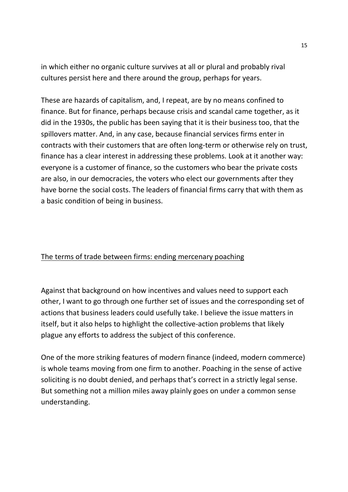in which either no organic culture survives at all or plural and probably rival cultures persist here and there around the group, perhaps for years.

These are hazards of capitalism, and, I repeat, are by no means confined to finance. But for finance, perhaps because crisis and scandal came together, as it did in the 1930s, the public has been saying that it is their business too, that the spillovers matter. And, in any case, because financial services firms enter in contracts with their customers that are often long-term or otherwise rely on trust, finance has a clear interest in addressing these problems. Look at it another way: everyone is a customer of finance, so the customers who bear the private costs are also, in our democracies, the voters who elect our governments after they have borne the social costs. The leaders of financial firms carry that with them as a basic condition of being in business.

## The terms of trade between firms: ending mercenary poaching

Against that background on how incentives and values need to support each other, I want to go through one further set of issues and the corresponding set of actions that business leaders could usefully take. I believe the issue matters in itself, but it also helps to highlight the collective-action problems that likely plague any efforts to address the subject of this conference.

One of the more striking features of modern finance (indeed, modern commerce) is whole teams moving from one firm to another. Poaching in the sense of active soliciting is no doubt denied, and perhaps that's correct in a strictly legal sense. But something not a million miles away plainly goes on under a common sense understanding.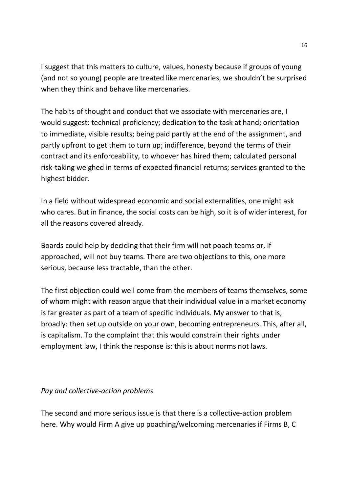I suggest that this matters to culture, values, honesty because if groups of young (and not so young) people are treated like mercenaries, we shouldn't be surprised when they think and behave like mercenaries.

The habits of thought and conduct that we associate with mercenaries are, I would suggest: technical proficiency; dedication to the task at hand; orientation to immediate, visible results; being paid partly at the end of the assignment, and partly upfront to get them to turn up; indifference, beyond the terms of their contract and its enforceability, to whoever has hired them; calculated personal risk-taking weighed in terms of expected financial returns; services granted to the highest bidder.

In a field without widespread economic and social externalities, one might ask who cares. But in finance, the social costs can be high, so it is of wider interest, for all the reasons covered already.

Boards could help by deciding that their firm will not poach teams or, if approached, will not buy teams. There are two objections to this, one more serious, because less tractable, than the other.

The first objection could well come from the members of teams themselves, some of whom might with reason argue that their individual value in a market economy is far greater as part of a team of specific individuals. My answer to that is, broadly: then set up outside on your own, becoming entrepreneurs. This, after all, is capitalism. To the complaint that this would constrain their rights under employment law, I think the response is: this is about norms not laws.

### *Pay and collective-action problems*

The second and more serious issue is that there is a collective-action problem here. Why would Firm A give up poaching/welcoming mercenaries if Firms B, C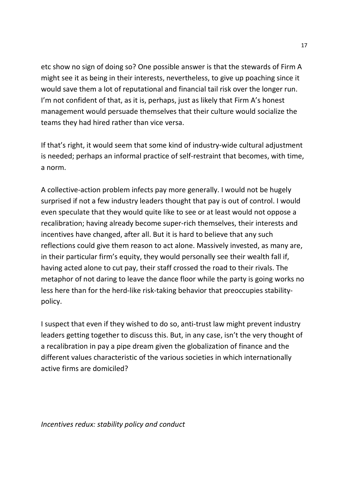etc show no sign of doing so? One possible answer is that the stewards of Firm A might see it as being in their interests, nevertheless, to give up poaching since it would save them a lot of reputational and financial tail risk over the longer run. I'm not confident of that, as it is, perhaps, just as likely that Firm A's honest management would persuade themselves that their culture would socialize the teams they had hired rather than vice versa.

If that's right, it would seem that some kind of industry-wide cultural adjustment is needed; perhaps an informal practice of self-restraint that becomes, with time, a norm.

A collective-action problem infects pay more generally. I would not be hugely surprised if not a few industry leaders thought that pay is out of control. I would even speculate that they would quite like to see or at least would not oppose a recalibration; having already become super-rich themselves, their interests and incentives have changed, after all. But it is hard to believe that any such reflections could give them reason to act alone. Massively invested, as many are, in their particular firm's equity, they would personally see their wealth fall if, having acted alone to cut pay, their staff crossed the road to their rivals. The metaphor of not daring to leave the dance floor while the party is going works no less here than for the herd-like risk-taking behavior that preoccupies stabilitypolicy.

I suspect that even if they wished to do so, anti-trust law might prevent industry leaders getting together to discuss this. But, in any case, isn't the very thought of a recalibration in pay a pipe dream given the globalization of finance and the different values characteristic of the various societies in which internationally active firms are domiciled?

*Incentives redux: stability policy and conduct*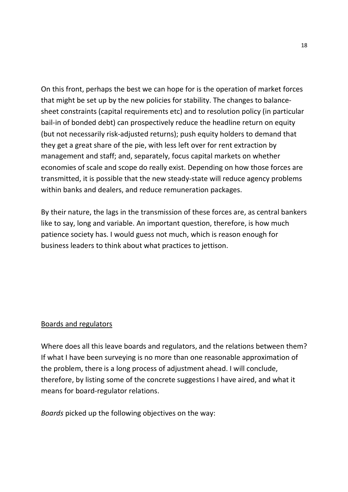On this front, perhaps the best we can hope for is the operation of market forces that might be set up by the new policies for stability. The changes to balancesheet constraints (capital requirements etc) and to resolution policy (in particular bail-in of bonded debt) can prospectively reduce the headline return on equity (but not necessarily risk-adjusted returns); push equity holders to demand that they get a great share of the pie, with less left over for rent extraction by management and staff; and, separately, focus capital markets on whether economies of scale and scope do really exist. Depending on how those forces are transmitted, it is possible that the new steady-state will reduce agency problems within banks and dealers, and reduce remuneration packages.

By their nature, the lags in the transmission of these forces are, as central bankers like to say, long and variable. An important question, therefore, is how much patience society has. I would guess not much, which is reason enough for business leaders to think about what practices to jettison.

## Boards and regulators

Where does all this leave boards and regulators, and the relations between them? If what I have been surveying is no more than one reasonable approximation of the problem, there is a long process of adjustment ahead. I will conclude, therefore, by listing some of the concrete suggestions I have aired, and what it means for board-regulator relations.

*Boards* picked up the following objectives on the way: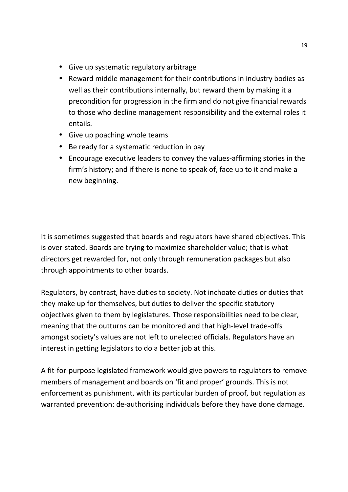- Give up systematic regulatory arbitrage
- Reward middle management for their contributions in industry bodies as well as their contributions internally, but reward them by making it a precondition for progression in the firm and do not give financial rewards to those who decline management responsibility and the external roles it entails.
- Give up poaching whole teams
- Be ready for a systematic reduction in pay
- Encourage executive leaders to convey the values-affirming stories in the firm's history; and if there is none to speak of, face up to it and make a new beginning.

It is sometimes suggested that boards and regulators have shared objectives. This is over-stated. Boards are trying to maximize shareholder value; that is what directors get rewarded for, not only through remuneration packages but also through appointments to other boards.

Regulators, by contrast, have duties to society. Not inchoate duties or duties that they make up for themselves, but duties to deliver the specific statutory objectives given to them by legislatures. Those responsibilities need to be clear, meaning that the outturns can be monitored and that high-level trade-offs amongst society's values are not left to unelected officials. Regulators have an interest in getting legislators to do a better job at this.

A fit-for-purpose legislated framework would give powers to regulators to remove members of management and boards on 'fit and proper' grounds. This is not enforcement as punishment, with its particular burden of proof, but regulation as warranted prevention: de-authorising individuals before they have done damage.